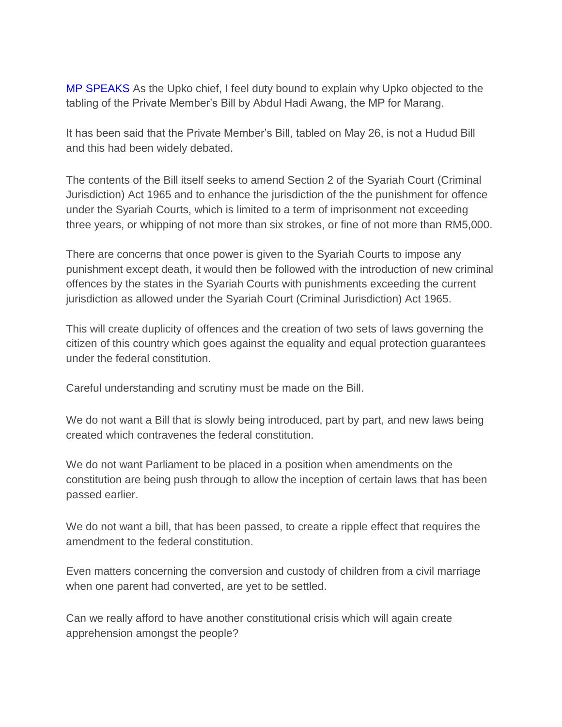MP SPEAKS As the Upko chief, I feel duty bound to explain why Upko objected to the tabling of the Private Member's Bill by Abdul Hadi Awang, the MP for Marang.

It has been said that the Private Member's Bill, tabled on May 26, is not a Hudud Bill and this had been widely debated.

The contents of the Bill itself seeks to amend Section 2 of the Syariah Court (Criminal Jurisdiction) Act 1965 and to enhance the jurisdiction of the the punishment for offence under the Syariah Courts, which is limited to a term of imprisonment not exceeding three years, or whipping of not more than six strokes, or fine of not more than RM5,000.

There are concerns that once power is given to the Syariah Courts to impose any punishment except death, it would then be followed with the introduction of new criminal offences by the states in the Syariah Courts with punishments exceeding the current jurisdiction as allowed under the Syariah Court (Criminal Jurisdiction) Act 1965.

This will create duplicity of offences and the creation of two sets of laws governing the citizen of this country which goes against the equality and equal protection guarantees under the federal constitution.

Careful understanding and scrutiny must be made on the Bill.

We do not want a Bill that is slowly being introduced, part by part, and new laws being created which contravenes the federal constitution.

We do not want Parliament to be placed in a position when amendments on the constitution are being push through to allow the inception of certain laws that has been passed earlier.

We do not want a bill, that has been passed, to create a ripple effect that requires the amendment to the federal constitution.

Even matters concerning the conversion and custody of children from a civil marriage when one parent had converted, are yet to be settled.

Can we really afford to have another constitutional crisis which will again create apprehension amongst the people?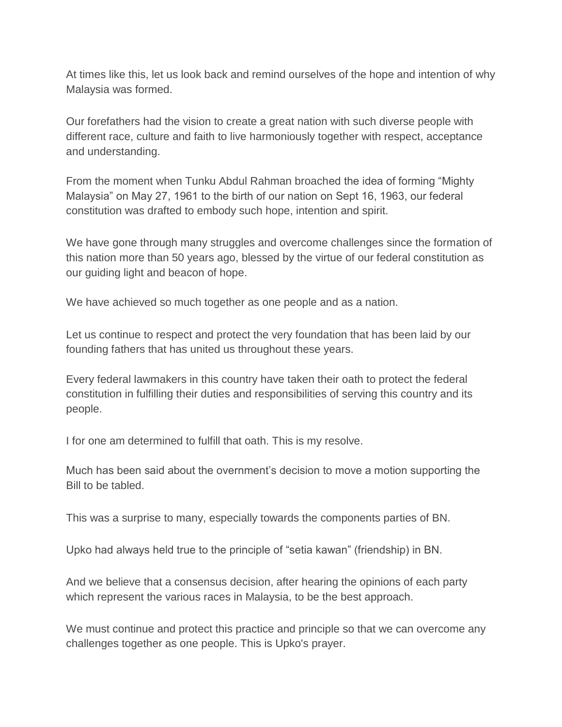At times like this, let us look back and remind ourselves of the hope and intention of why Malaysia was formed.

Our forefathers had the vision to create a great nation with such diverse people with different race, culture and faith to live harmoniously together with respect, acceptance and understanding.

From the moment when Tunku Abdul Rahman broached the idea of forming "Mighty Malaysia" on May 27, 1961 to the birth of our nation on Sept 16, 1963, our federal constitution was drafted to embody such hope, intention and spirit.

We have gone through many struggles and overcome challenges since the formation of this nation more than 50 years ago, blessed by the virtue of our federal constitution as our guiding light and beacon of hope.

We have achieved so much together as one people and as a nation.

Let us continue to respect and protect the very foundation that has been laid by our founding fathers that has united us throughout these years.

Every federal lawmakers in this country have taken their oath to protect the federal constitution in fulfilling their duties and responsibilities of serving this country and its people.

I for one am determined to fulfill that oath. This is my resolve.

Much has been said about the overnment's decision to move a motion supporting the Bill to be tabled.

This was a surprise to many, especially towards the components parties of BN.

Upko had always held true to the principle of "setia kawan" (friendship) in BN.

And we believe that a consensus decision, after hearing the opinions of each party which represent the various races in Malaysia, to be the best approach.

We must continue and protect this practice and principle so that we can overcome any challenges together as one people. This is Upko's prayer.